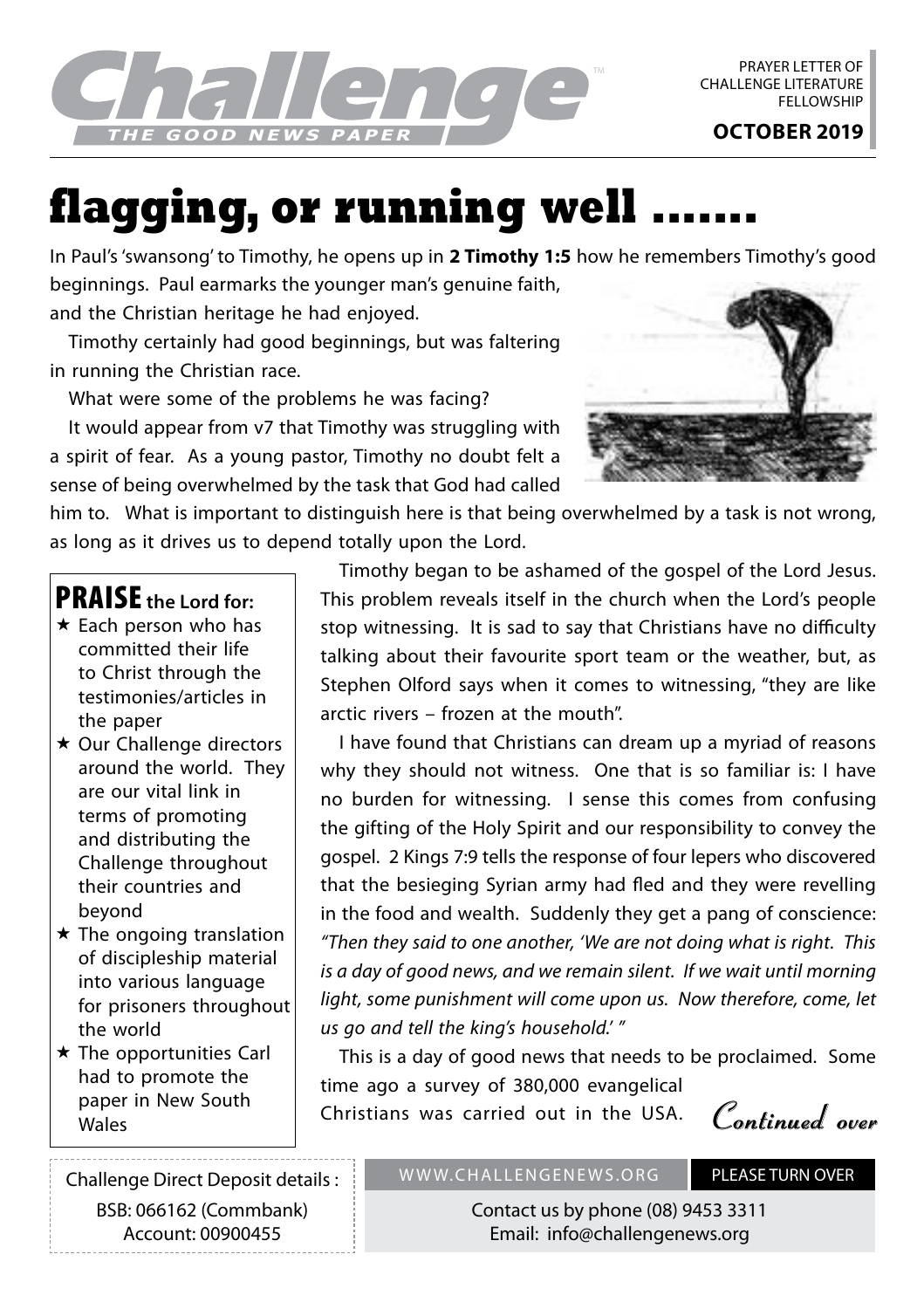

## **flagging, or running well**

In Paul's 'swansong' to Timothy, he opens up in **2 Timothy 1:5** how he remembers Timothy's good beginnings. Paul earmarks the younger man's genuine faith,

and the Christian heritage he had enjoyed.

Timothy certainly had good beginnings, but was faltering in running the Christian race.

What were some of the problems he was facing?

It would appear from v7 that Timothy was struggling with a spirit of fear. As a young pastor, Timothy no doubt felt a sense of being overwhelmed by the task that God had called



him to. What is important to distinguish here is that being overwhelmed by a task is not wrong, as long as it drives us to depend totally upon the Lord.

## PRAISE **the Lord for:**

- $\star$  Each person who has committed their life to Christ through the testimonies/articles in the paper
- **★ Our Challenge directors** around the world. They are our vital link in terms of promoting and distributing the Challenge throughout their countries and beyond
- $\star$  The ongoing translation of discipleship material into various language for prisoners throughout the world
- $\star$  The opportunities Carl had to promote the paper in New South

Timothy began to be ashamed of the gospel of the Lord Jesus. This problem reveals itself in the church when the Lord's people stop witnessing. It is sad to say that Christians have no difficulty talking about their favourite sport team or the weather, but, as Stephen Olford says when it comes to witnessing, "they are like arctic rivers – frozen at the mouth".

I have found that Christians can dream up a myriad of reasons why they should not witness. One that is so familiar is: I have no burden for witnessing. I sense this comes from confusing the gifting of the Holy Spirit and our responsibility to convey the gospel. 2 Kings 7:9 tells the response of four lepers who discovered that the besieging Syrian army had fled and they were revelling in the food and wealth. Suddenly they get a pang of conscience: *"Then they said to one another, 'We are not doing what is right. This is a day of good news, and we remain silent. If we wait until morning light, some punishment will come upon us. Now therefore, come, let us go and tell the king's household.' "*

This is a day of good news that needs to be proclaimed. Some time ago a survey of 380,000 evangelical

paper in New South (Schristians was carried out in the USA. **Continued over** 

Challenge Direct Deposit details : BSB: 066162 (Commbank) Account: 00900455

## WWW.CHALLENGENEWS.ORG PLEASE TURN OVER

Contact us by phone (08) 9453 3311 Email: info@challengenews.org